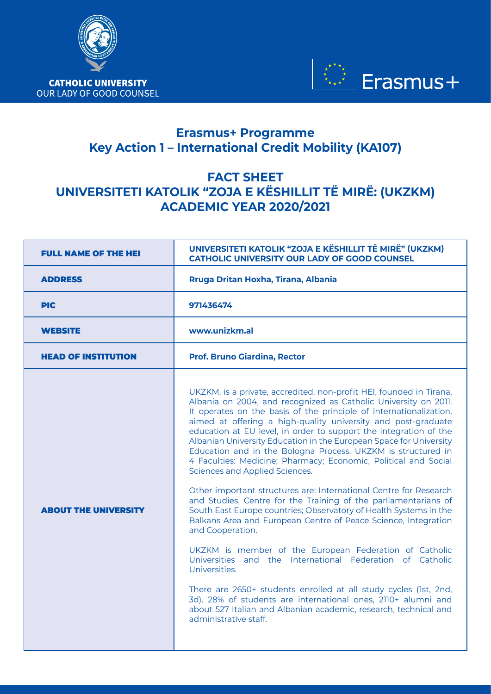



## **Erasmus+ Programme Key Action 1 – International Credit Mobility (KA107)**

## **FACT SHEET UNIVERSITETI KATOLIK "ZOJA E KËSHILLIT TË MIRË: (UKZKM) ACADEMIC YEAR 2020/2021**

| <b>FULL NAME OF THE HEI</b> | UNIVERSITETI KATOLIK "ZOJA E KËSHILLIT TË MIRË" (UKZKM)<br><b>CATHOLIC UNIVERSITY OUR LADY OF GOOD COUNSEL</b>                                                                                                                                                                                                                                                                                                                                                                                                                                                                                                                                                                                                                                                                                                                                                                                                                                                                                                                                                                                                                                                                                                                                                             |  |
|-----------------------------|----------------------------------------------------------------------------------------------------------------------------------------------------------------------------------------------------------------------------------------------------------------------------------------------------------------------------------------------------------------------------------------------------------------------------------------------------------------------------------------------------------------------------------------------------------------------------------------------------------------------------------------------------------------------------------------------------------------------------------------------------------------------------------------------------------------------------------------------------------------------------------------------------------------------------------------------------------------------------------------------------------------------------------------------------------------------------------------------------------------------------------------------------------------------------------------------------------------------------------------------------------------------------|--|
| <b>ADDRESS</b>              | Rruga Dritan Hoxha, Tirana, Albania                                                                                                                                                                                                                                                                                                                                                                                                                                                                                                                                                                                                                                                                                                                                                                                                                                                                                                                                                                                                                                                                                                                                                                                                                                        |  |
| <b>PIC</b>                  | 971436474                                                                                                                                                                                                                                                                                                                                                                                                                                                                                                                                                                                                                                                                                                                                                                                                                                                                                                                                                                                                                                                                                                                                                                                                                                                                  |  |
| <b>WEBSITE</b>              | www.unizkm.al                                                                                                                                                                                                                                                                                                                                                                                                                                                                                                                                                                                                                                                                                                                                                                                                                                                                                                                                                                                                                                                                                                                                                                                                                                                              |  |
| <b>HEAD OF INSTITUTION</b>  | <b>Prof. Bruno Giardina, Rector</b>                                                                                                                                                                                                                                                                                                                                                                                                                                                                                                                                                                                                                                                                                                                                                                                                                                                                                                                                                                                                                                                                                                                                                                                                                                        |  |
| <b>ABOUT THE UNIVERSITY</b> | UKZKM, is a private, accredited, non-profit HEI, founded in Tirana,<br>Albania on 2004, and recognized as Catholic University on 2011.<br>It operates on the basis of the principle of internationalization,<br>aimed at offering a high-quality university and post-graduate<br>education at EU level, in order to support the integration of the<br>Albanian University Education in the European Space for University<br>Education and in the Bologna Process. UKZKM is structured in<br>4 Faculties: Medicine; Pharmacy; Economic, Political and Social<br>Sciences and Applied Sciences.<br>Other important structures are: International Centre for Research<br>and Studies, Centre for the Training of the parliamentarians of<br>South East Europe countries; Observatory of Health Systems in the<br>Balkans Area and European Centre of Peace Science, Integration<br>and Cooperation.<br>UKZKM is member of the European Federation of Catholic<br>Universities and the International Federation of Catholic<br>Universities.<br>There are 2650+ students enrolled at all study cycles (1st, 2nd,<br>3d). 28% of students are international ones, 2110+ alumni and<br>about 527 Italian and Albanian academic, research, technical and<br>administrative staff. |  |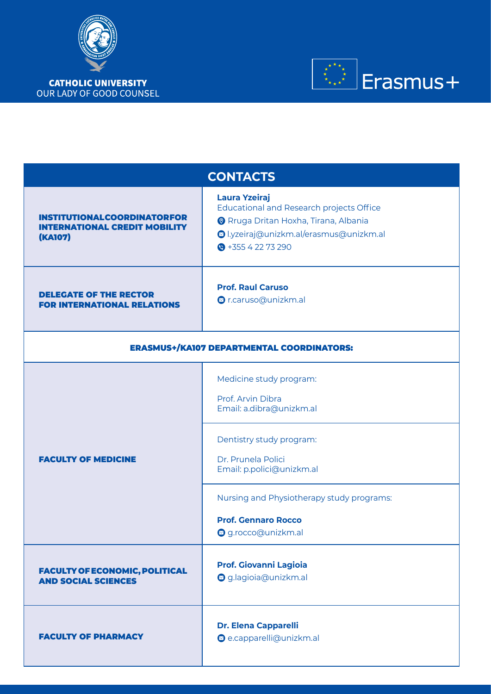

\* \* \* \*<br>\* \* \* \* \*  $\rfloor$ Erasmus $+$ 

| <b>CONTACTS</b>                                                                              |                                                                                                                                                                                                                                                         |  |  |  |
|----------------------------------------------------------------------------------------------|---------------------------------------------------------------------------------------------------------------------------------------------------------------------------------------------------------------------------------------------------------|--|--|--|
| <b>INSTITUTIONALCOORDINATORFOR</b><br><b>INTERNATIONAL CREDIT MOBILITY</b><br><b>(KA107)</b> | <b>Laura Yzeiraj</b><br><b>Educational and Research projects Office</b><br><b>O</b> Rruga Dritan Hoxha, Tirana, Albania<br>Olyzeiraj@unizkm.al/erasmus@unizkm.al<br>$\bullet$ +355 4 22 73 290                                                          |  |  |  |
| <b>DELEGATE OF THE RECTOR</b><br><b>FOR INTERNATIONAL RELATIONS</b>                          | <b>Prof. Raul Caruso</b><br>Or.caruso@unizkm.al                                                                                                                                                                                                         |  |  |  |
| <b>ERASMUS+/KA107 DEPARTMENTAL COORDINATORS:</b>                                             |                                                                                                                                                                                                                                                         |  |  |  |
| <b>FACULTY OF MEDICINE</b>                                                                   | Medicine study program:<br>Prof. Arvin Dibra<br>Email: a.dibra@unizkm.al<br>Dentistry study program:<br>Dr. Prunela Polici<br>Email: p.polici@unizkm.al<br>Nursing and Physiotherapy study programs:<br><b>Prof. Gennaro Rocco</b><br>g.rocco@unizkm.al |  |  |  |
| <b>FACULTY OF ECONOMIC, POLITICAL</b><br><b>AND SOCIAL SCIENCES</b>                          | <b>Prof. Giovanni Lagioia</b><br>g.lagioia@unizkm.al                                                                                                                                                                                                    |  |  |  |
| <b>FACULTY OF PHARMACY</b>                                                                   | <b>Dr. Elena Capparelli</b><br>e.capparelli@unizkm.al                                                                                                                                                                                                   |  |  |  |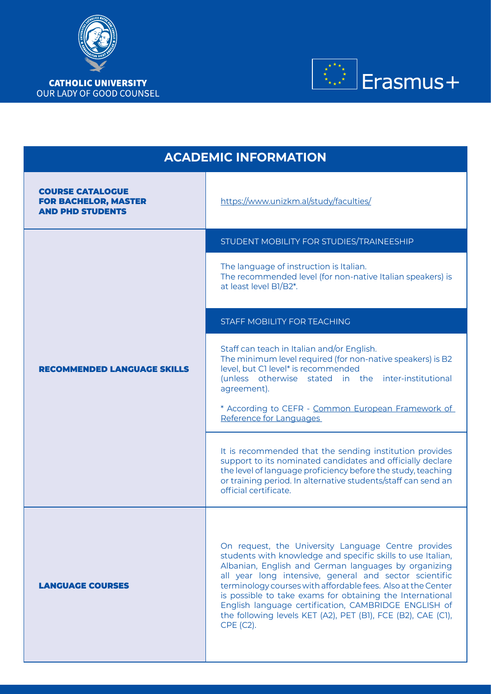



| <b>ACADEMIC INFORMATION</b>                                                       |                                                                                                                                                                                                                                                                                                                                                                                                                                                                                                        |  |  |
|-----------------------------------------------------------------------------------|--------------------------------------------------------------------------------------------------------------------------------------------------------------------------------------------------------------------------------------------------------------------------------------------------------------------------------------------------------------------------------------------------------------------------------------------------------------------------------------------------------|--|--|
| <b>COURSE CATALOGUE</b><br><b>FOR BACHELOR, MASTER</b><br><b>AND PHD STUDENTS</b> | https://www.unizkm.al/study/faculties/                                                                                                                                                                                                                                                                                                                                                                                                                                                                 |  |  |
|                                                                                   | STUDENT MOBILITY FOR STUDIES/TRAINEESHIP                                                                                                                                                                                                                                                                                                                                                                                                                                                               |  |  |
|                                                                                   | The language of instruction is Italian.<br>The recommended level (for non-native Italian speakers) is<br>at least level B1/B2*.                                                                                                                                                                                                                                                                                                                                                                        |  |  |
|                                                                                   | <b>STAFF MOBILITY FOR TEACHING</b>                                                                                                                                                                                                                                                                                                                                                                                                                                                                     |  |  |
| <b>RECOMMENDED LANGUAGE SKILLS</b>                                                | Staff can teach in Italian and/or English.<br>The minimum level required (for non-native speakers) is B2<br>level, but C1 level* is recommended<br>(unless otherwise stated in the inter-institutional<br>agreement).<br>* According to CEFR - Common European Framework of<br>Reference for Languages                                                                                                                                                                                                 |  |  |
|                                                                                   | It is recommended that the sending institution provides<br>support to its nominated candidates and officially declare<br>the level of language proficiency before the study, teaching<br>or training period. In alternative students/staff can send an<br>official certificate.                                                                                                                                                                                                                        |  |  |
| <b>LANGUAGE COURSES</b>                                                           | On request, the University Language Centre provides<br>students with knowledge and specific skills to use Italian,<br>Albanian, English and German languages by organizing<br>all year long intensive, general and sector scientific<br>terminology courses with affordable fees. Also at the Center<br>is possible to take exams for obtaining the International<br>English language certification, CAMBRIDGE ENGLISH of<br>the following levels KET (A2), PET (B1), FCE (B2), CAE (C1),<br>CPE (C2). |  |  |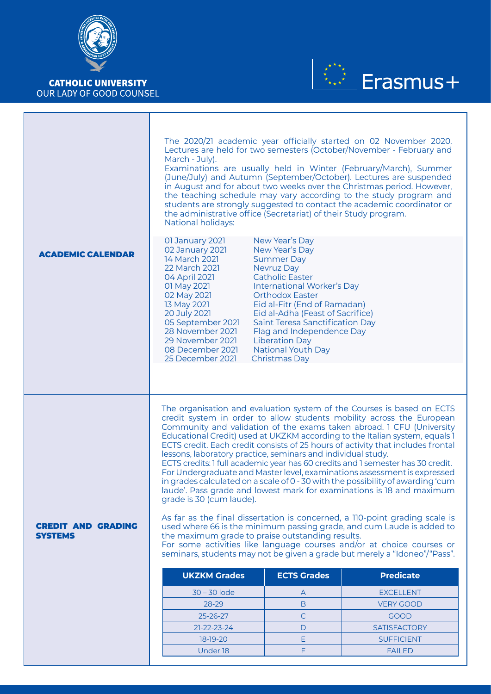



|                                             | The 2020/21 academic year officially started on 02 November 2020.<br>Lectures are held for two semesters (October/November - February and<br>March - July).<br>Examinations are usually held in Winter (February/March), Summer<br>(June/July) and Autumn (September/October). Lectures are suspended<br>in August and for about two weeks over the Christmas period. However,<br>the teaching schedule may vary according to the study program and<br>students are strongly suggested to contact the academic coordinator or<br>the administrative office (Secretariat) of their Study program.<br><b>National holidays:</b>                                                                                                                                                                                                                                                                                                                                                                                                                                                                                                                                                       |                                                                                                                                                                                                                                                                                                                                                                                       |                                          |  |
|---------------------------------------------|-------------------------------------------------------------------------------------------------------------------------------------------------------------------------------------------------------------------------------------------------------------------------------------------------------------------------------------------------------------------------------------------------------------------------------------------------------------------------------------------------------------------------------------------------------------------------------------------------------------------------------------------------------------------------------------------------------------------------------------------------------------------------------------------------------------------------------------------------------------------------------------------------------------------------------------------------------------------------------------------------------------------------------------------------------------------------------------------------------------------------------------------------------------------------------------|---------------------------------------------------------------------------------------------------------------------------------------------------------------------------------------------------------------------------------------------------------------------------------------------------------------------------------------------------------------------------------------|------------------------------------------|--|
| <b>ACADEMIC CALENDAR</b>                    | 01 January 2021<br>02 January 2021<br>14 March 2021<br>22 March 2021<br>04 April 2021<br>01 May 2021<br>02 May 2021<br>13 May 2021<br>20 July 2021<br>05 September 2021<br>28 November 2021<br>29 November 2021<br>08 December 2021<br>25 December 2021                                                                                                                                                                                                                                                                                                                                                                                                                                                                                                                                                                                                                                                                                                                                                                                                                                                                                                                             | New Year's Day<br>New Year's Day<br><b>Summer Day</b><br>Nevruz Day<br><b>Catholic Easter</b><br><b>International Worker's Day</b><br><b>Orthodox Easter</b><br>Eid al-Fitr (End of Ramadan)<br>Eid al-Adha (Feast of Sacrifice)<br><b>Saint Teresa Sanctification Day</b><br>Flag and Independence Day<br><b>Liberation Day</b><br><b>National Youth Day</b><br><b>Christmas Day</b> |                                          |  |
|                                             |                                                                                                                                                                                                                                                                                                                                                                                                                                                                                                                                                                                                                                                                                                                                                                                                                                                                                                                                                                                                                                                                                                                                                                                     |                                                                                                                                                                                                                                                                                                                                                                                       |                                          |  |
|                                             | The organisation and evaluation system of the Courses is based on ECTS<br>credit system in order to allow students mobility across the European<br>Community and validation of the exams taken abroad. 1 CFU (University<br>Educational Credit) used at UKZKM according to the Italian system, equals 1<br>ECTS credit. Each credit consists of 25 hours of activity that includes frontal<br>lessons, laboratory practice, seminars and individual study.<br>ECTS credits: 1 full academic year has 60 credits and 1 semester has 30 credit.<br>For Undergraduate and Master level, examinations assessment is expressed<br>in grades calculated on a scale of 0 - 30 with the possibility of awarding 'cum<br>laude'. Pass grade and lowest mark for examinations is 18 and maximum<br>grade is 30 (cum laude).<br>As far as the final dissertation is concerned, a 110-point grading scale is<br>used where 66 is the minimum passing grade, and cum Laude is added to<br>the maximum grade to praise outstanding results.<br>For some activities like language courses and/or at choice courses or<br>seminars, students may not be given a grade but merely a "Idoneo"/"Pass". |                                                                                                                                                                                                                                                                                                                                                                                       |                                          |  |
| <b>CREDIT AND GRADING</b><br><b>SYSTEMS</b> |                                                                                                                                                                                                                                                                                                                                                                                                                                                                                                                                                                                                                                                                                                                                                                                                                                                                                                                                                                                                                                                                                                                                                                                     |                                                                                                                                                                                                                                                                                                                                                                                       |                                          |  |
|                                             | <b>UKZKM Grades</b>                                                                                                                                                                                                                                                                                                                                                                                                                                                                                                                                                                                                                                                                                                                                                                                                                                                                                                                                                                                                                                                                                                                                                                 | <b>ECTS Grades</b>                                                                                                                                                                                                                                                                                                                                                                    | <b>Predicate</b>                         |  |
|                                             | $30 - 30$ lode                                                                                                                                                                                                                                                                                                                                                                                                                                                                                                                                                                                                                                                                                                                                                                                                                                                                                                                                                                                                                                                                                                                                                                      | A                                                                                                                                                                                                                                                                                                                                                                                     | <b>EXCELLENT</b>                         |  |
|                                             | 28-29                                                                                                                                                                                                                                                                                                                                                                                                                                                                                                                                                                                                                                                                                                                                                                                                                                                                                                                                                                                                                                                                                                                                                                               | B                                                                                                                                                                                                                                                                                                                                                                                     | <b>VERY GOOD</b>                         |  |
|                                             | 25-26-27                                                                                                                                                                                                                                                                                                                                                                                                                                                                                                                                                                                                                                                                                                                                                                                                                                                                                                                                                                                                                                                                                                                                                                            | $\mathsf{C}$                                                                                                                                                                                                                                                                                                                                                                          | <b>GOOD</b>                              |  |
|                                             | $21 - 22 - 23 - 24$<br>18-19-20                                                                                                                                                                                                                                                                                                                                                                                                                                                                                                                                                                                                                                                                                                                                                                                                                                                                                                                                                                                                                                                                                                                                                     | D<br>E                                                                                                                                                                                                                                                                                                                                                                                | <b>SATISFACTORY</b><br><b>SUFFICIENT</b> |  |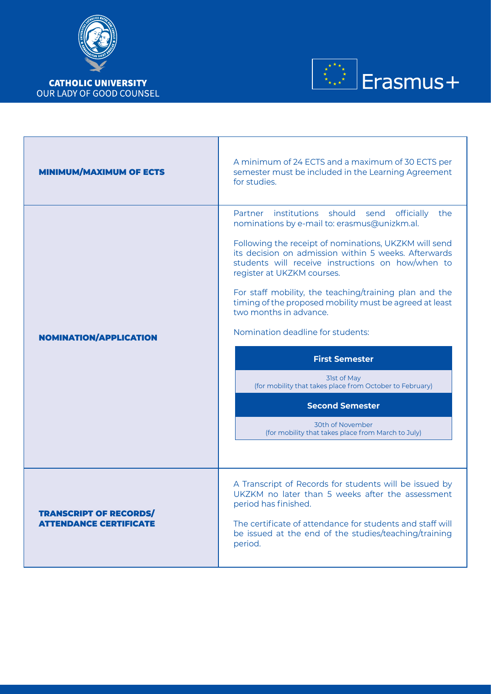



| <b>MINIMUM/MAXIMUM OF ECTS</b>                                 | A minimum of 24 ECTS and a maximum of 30 ECTS per<br>semester must be included in the Learning Agreement<br>for studies.                                                                                                                                                                                                                                                                                                                                                                                                                                                                                                                                                                              |  |
|----------------------------------------------------------------|-------------------------------------------------------------------------------------------------------------------------------------------------------------------------------------------------------------------------------------------------------------------------------------------------------------------------------------------------------------------------------------------------------------------------------------------------------------------------------------------------------------------------------------------------------------------------------------------------------------------------------------------------------------------------------------------------------|--|
| <b>NOMINATION/APPLICATION</b>                                  | Partner institutions should send<br>officially<br>the<br>nominations by e-mail to: erasmus@unizkm.al.<br>Following the receipt of nominations, UKZKM will send<br>its decision on admission within 5 weeks. Afterwards<br>students will receive instructions on how/when to<br>register at UKZKM courses.<br>For staff mobility, the teaching/training plan and the<br>timing of the proposed mobility must be agreed at least<br>two months in advance.<br>Nomination deadline for students:<br><b>First Semester</b><br>31st of May<br>(for mobility that takes place from October to February)<br><b>Second Semester</b><br>30th of November<br>(for mobility that takes place from March to July) |  |
| <b>TRANSCRIPT OF RECORDS/</b><br><b>ATTENDANCE CERTIFICATE</b> | A Transcript of Records for students will be issued by<br>UKZKM no later than 5 weeks after the assessment<br>period has finished.<br>The certificate of attendance for students and staff will<br>be issued at the end of the studies/teaching/training<br>period.                                                                                                                                                                                                                                                                                                                                                                                                                                   |  |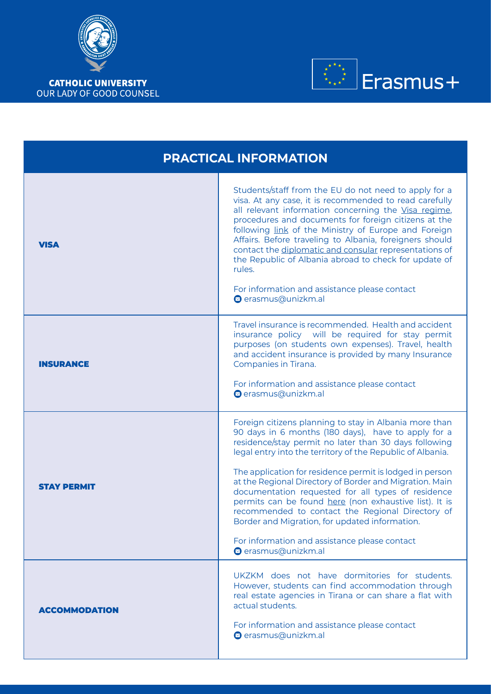



| <b>PRACTICAL INFORMATION</b> |                                                                                                                                                                                                                                                                                                                                                                                                                                                                                                                                                                                                                                                           |  |  |
|------------------------------|-----------------------------------------------------------------------------------------------------------------------------------------------------------------------------------------------------------------------------------------------------------------------------------------------------------------------------------------------------------------------------------------------------------------------------------------------------------------------------------------------------------------------------------------------------------------------------------------------------------------------------------------------------------|--|--|
| <b>VISA</b>                  | Students/staff from the EU do not need to apply for a<br>visa. At any case, it is recommended to read carefully<br>all relevant information concerning the Visa regime,<br>procedures and documents for foreign citizens at the<br>following link of the Ministry of Europe and Foreign<br>Affairs. Before traveling to Albania, foreigners should<br>contact the diplomatic and consular representations of<br>the Republic of Albania abroad to check for update of<br>rules.<br>For information and assistance please contact<br>◎ erasmus@unizkm.al                                                                                                   |  |  |
| <b>INSURANCE</b>             | Travel insurance is recommended. Health and accident<br>insurance policy will be required for stay permit<br>purposes (on students own expenses). Travel, health<br>and accident insurance is provided by many Insurance<br>Companies in Tirana.<br>For information and assistance please contact<br>erasmus@unizkm.al                                                                                                                                                                                                                                                                                                                                    |  |  |
| <b>STAY PERMIT</b>           | Foreign citizens planning to stay in Albania more than<br>90 days in 6 months (180 days), have to apply for a<br>residence/stay permit no later than 30 days following<br>legal entry into the territory of the Republic of Albania.<br>The application for residence permit is lodged in person<br>at the Regional Directory of Border and Migration. Main<br>documentation requested for all types of residence<br>permits can be found here (non exhaustive list). It is<br>recommended to contact the Regional Directory of<br>Border and Migration, for updated information.<br>For information and assistance please contact<br>◎ erasmus@unizkm.al |  |  |
| <b>ACCOMMODATION</b>         | UKZKM does not have dormitories for students.<br>However, students can find accommodation through<br>real estate agencies in Tirana or can share a flat with<br>actual students.<br>For information and assistance please contact<br>◎ erasmus@unizkm.al                                                                                                                                                                                                                                                                                                                                                                                                  |  |  |